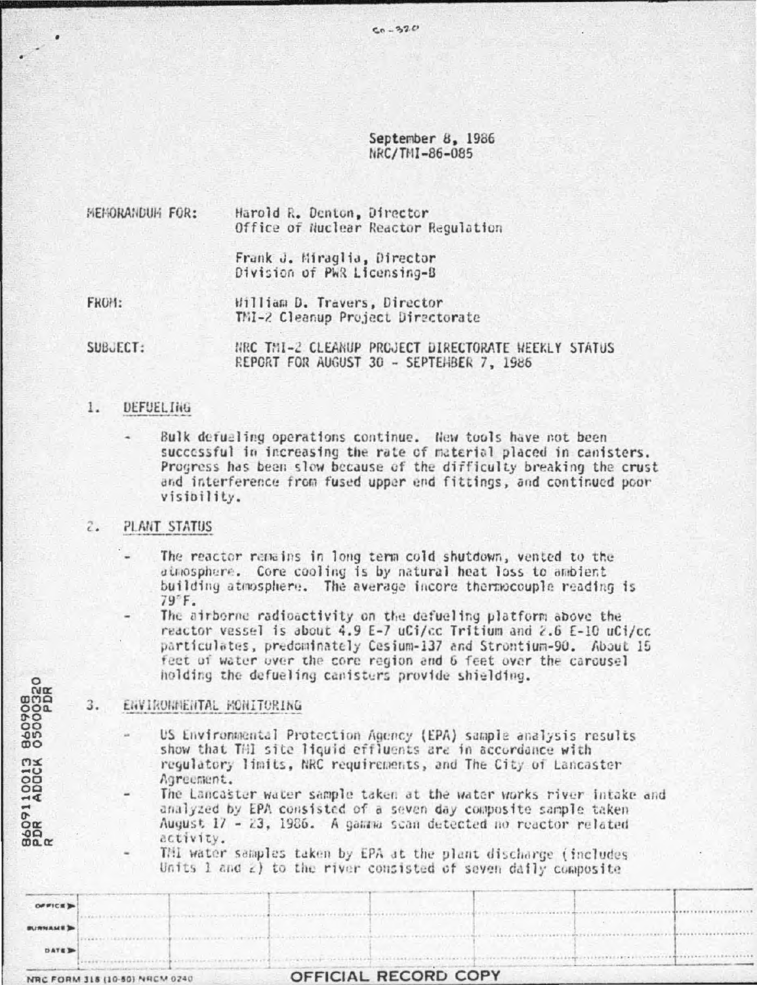# September 8, 1986 NRC/TMI-86-085

| MEMORANDUM FOR: |  |  | Harold R. Denton, Director           |
|-----------------|--|--|--------------------------------------|
|                 |  |  | Office of Nuclear Reactor Regulation |

Frank J. Miraglia, Director Division of PWR Licensing-B

FROM: William D. Travers, Director TMI-2 Cleanup Project Directorate

SUBJECT: NRC THI-2 CLEANUP PROJECT DIRECTORATE HEEKLY STATUS REPORT FOR AUGUST 30 - SEPTEHBER 7, 1986

#### $1.$ DEFUEL THG

Bulk defueling operations continue. New tools have not been successful in increasing the rate of material placed in canisters. Progress has been slow because of the difficulty breaking the crust and interference from fused upper end fittings, and continued poor visibility.

### **PLANT STATUS**  $\tilde{\epsilon}$ .

8609110013 860908<br>PDR ADOCK 05000320<br>R

 $OPTICE$ **IRMAMED** DATE IN

NRC FORM 318 (10-50) NRCM 0240

The reactor remains in long term cold shutdown, vented to the atmosphere. Core cooling is by natural heat loss to ambient building atmosphere. The average incore thermocouple reading is 79°F.

The airborne radioactivity on the defueling platform above the reactor vessel is about 4.9 E-7 uCi/cc Tritium and 2.6 E-10 uCi/cc particulates, predominately Cesium-137 and Strontium-90. About 15 fect of water over the core region and 6 feet over the carousel holding the defueling canisters provide shielding.

### ENVIRONMENTAL MONITORING 3.

US Environmental Protection Agency (EPA) sample analysis results show that THI site liquid effluents are in accordance with regulatory limits, NRC requirements, and The City of Lancaster Agreement.

The Lancaster water sample taken at the water works river intake and analyzed by EPA consisted of a seven day composite sample taken August 17 - 23, 1986. A gamma scan detected no reactor related activity.

Thi water samples taken by EPA at the plant discharge (includes Units  $1$  and  $2)$  to the river consisted of seven daily composite

|  | <b>OFFICIAL RECORD COPY</b> |  |
|--|-----------------------------|--|
|  |                             |  |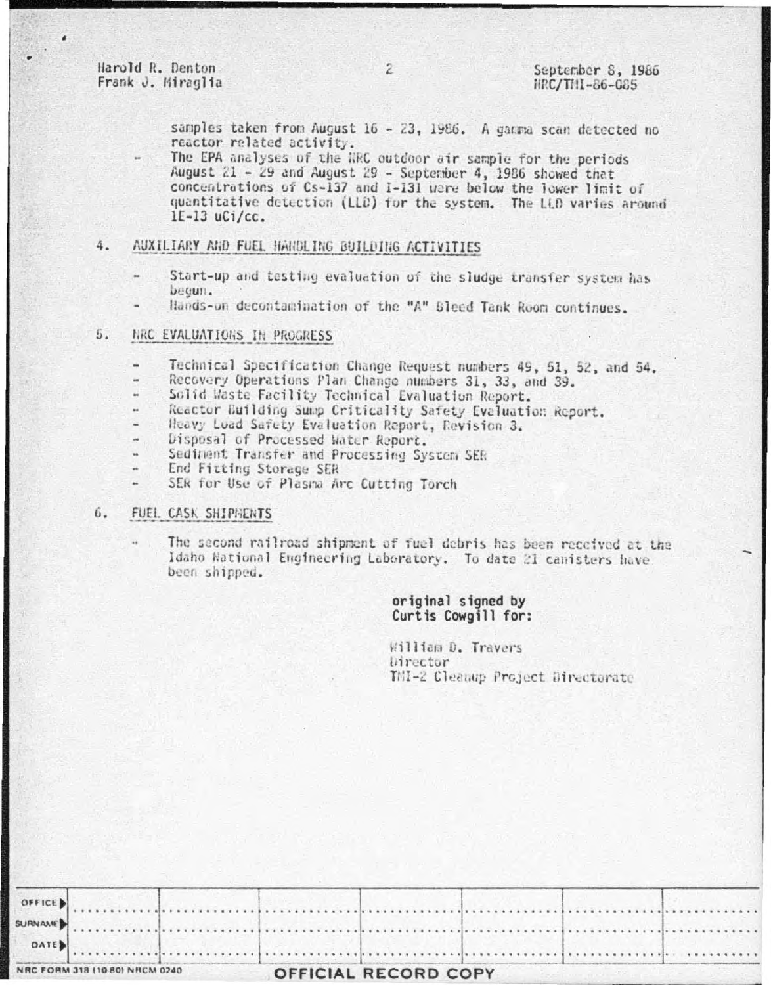Harold R. Denton Frank J. Miraglia

samples taken from August 16 - 23, 1986. A gamma scan datected no reactor related activity.

The EPA analyses of the NRC outdoor air sample for the periods August 21 - 29 and August 29 - September 4, 1986 showed that concentrations of Cs-137 and I-131 were below the lower limit of quantitative detection (LLD) for the system. The LLD varies around  $1E-13$  uCi/cc.

## AUXILIARY AND FUEL HANDLING BUILDING ACTIVITIES 4.

- Start-up and testing evaluation of the sludge transfer system has becun.
- Hands-on decontamination of the "A" Bleed Tank Room continues.

## 5. NRC EVALUATIONS IN PROGRESS

- Technical Specification Change Request numbers 49, 51, 52, and 54.
- Recovery Operations Plan Change numbers 31, 33, and 39.
- Solid Waste Facility Technical Evaluation Report.
- Reactor Building Sump Criticality Safety Evaluation Report.
- Heavy Load Safety Evaluation Report, Revision 3.
- Disposal of Processed Water Report.
- Sediment Transfer and Processing System SER
- End Fitting Storage SER
- SER for Use of Plasma Arc Cutting Torch

#### 6. FUEL CASK SHIPMENTS

The second railroad shipment of fuel debris has been received at the Idaho National Engineering Laboratory. To date 21 canisters have been shipped.

## original signed by Curtis Cowgill for:

William D. Travers *litector* TMI-2 Cleanup Project Directorate

| NRC FORM 318 (10 80) NRCM 0240 |  |  | <b>OFFICIAL RECORD COPY</b> |  |  |  |  |  |  |  |
|--------------------------------|--|--|-----------------------------|--|--|--|--|--|--|--|
| $\sim$ DATE                    |  |  |                             |  |  |  |  |  |  |  |
|                                |  |  |                             |  |  |  |  |  |  |  |
| OFFICE )                       |  |  |                             |  |  |  |  |  |  |  |